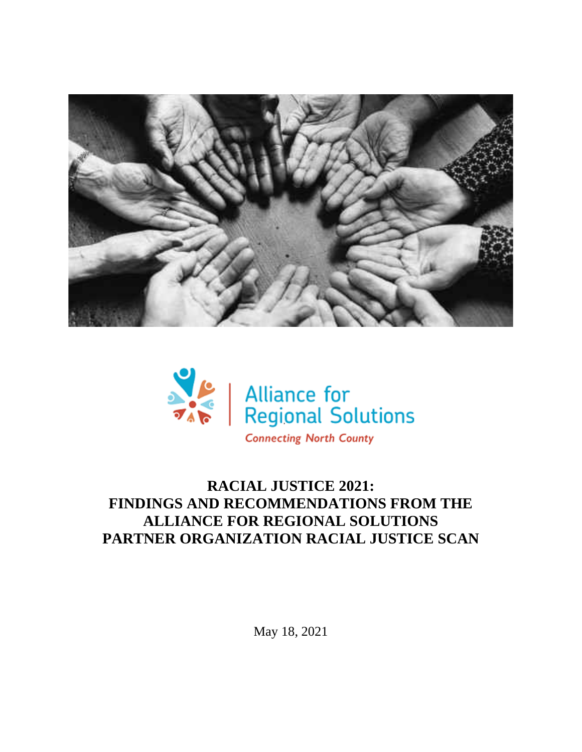



# **RACIAL JUSTICE 2021: FINDINGS AND RECOMMENDATIONS FROM THE ALLIANCE FOR REGIONAL SOLUTIONS PARTNER ORGANIZATION RACIAL JUSTICE SCAN**

May 18, 2021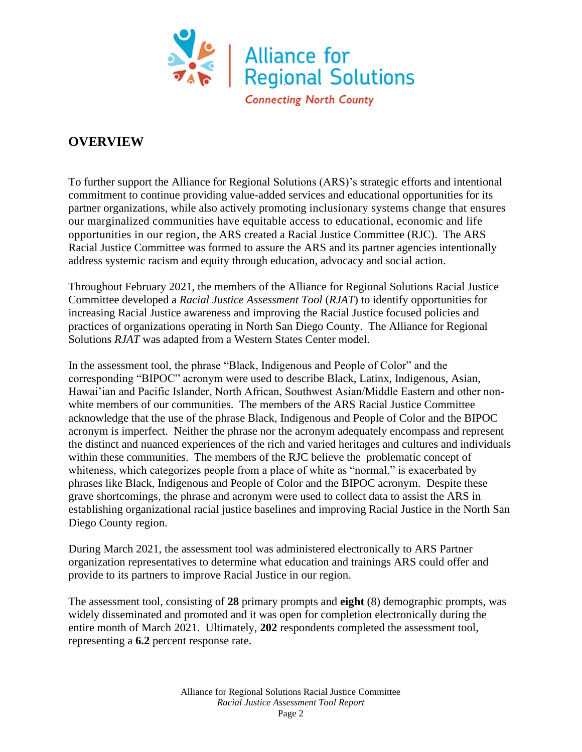

### **OVERVIEW**

To further support the Alliance for Regional Solutions (ARS)'s strategic efforts and intentional commitment to continue providing value-added services and educational opportunities for its partner organizations, while also actively promoting inclusionary systems change that ensures our marginalized communities have equitable access to educational, economic and life opportunities in our region, the ARS created a Racial Justice Committee (RJC). The ARS Racial Justice Committee was formed to assure the ARS and its partner agencies intentionally address systemic racism and equity through education, advocacy and social action.

Throughout February 2021, the members of the Alliance for Regional Solutions Racial Justice Committee developed a *Racial Justice Assessment Tool* (*RJAT*) to identify opportunities for increasing Racial Justice awareness and improving the Racial Justice focused policies and practices of organizations operating in North San Diego County. The Alliance for Regional Solutions *RJAT* was adapted from a Western States Center model.

In the assessment tool, the phrase "Black, Indigenous and People of Color" and the corresponding "BIPOC" acronym were used to describe Black, Latinx, Indigenous, Asian, Hawai'ian and Pacific Islander, North African, Southwest Asian/Middle Eastern and other nonwhite members of our communities. The members of the ARS Racial Justice Committee acknowledge that the use of the phrase Black, Indigenous and People of Color and the BIPOC acronym is imperfect. Neither the phrase nor the acronym adequately encompass and represent the distinct and nuanced experiences of the rich and varied heritages and cultures and individuals within these communities. The members of the RJC believe the problematic concept of whiteness, which categorizes people from a place of white as "normal," is exacerbated by phrases like Black, Indigenous and People of Color and the BIPOC acronym. Despite these grave shortcomings, the phrase and acronym were used to collect data to assist the ARS in establishing organizational racial justice baselines and improving Racial Justice in the North San Diego County region.

During March 2021, the assessment tool was administered electronically to ARS Partner organization representatives to determine what education and trainings ARS could offer and provide to its partners to improve Racial Justice in our region.

The assessment tool, consisting of **28** primary prompts and **eight** (8) demographic prompts, was widely disseminated and promoted and it was open for completion electronically during the entire month of March 2021. Ultimately, **202** respondents completed the assessment tool, representing a **6.2** percent response rate.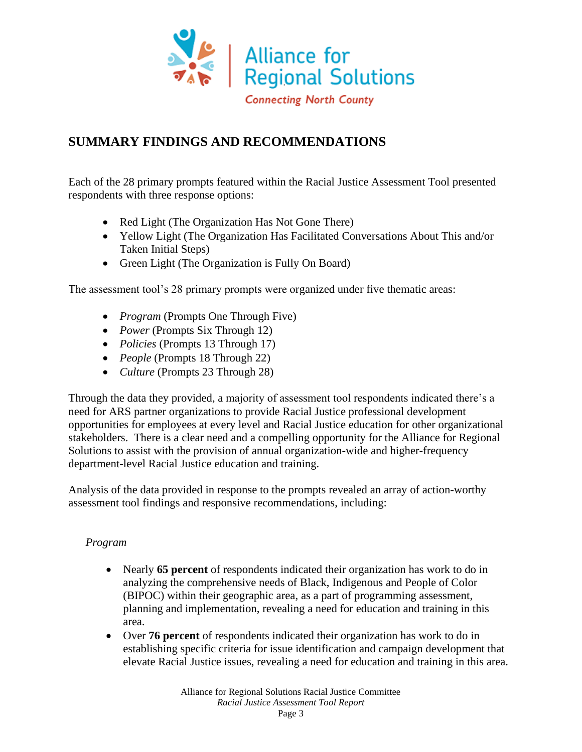

## **SUMMARY FINDINGS AND RECOMMENDATIONS**

Each of the 28 primary prompts featured within the Racial Justice Assessment Tool presented respondents with three response options:

- Red Light (The Organization Has Not Gone There)
- Yellow Light (The Organization Has Facilitated Conversations About This and/or Taken Initial Steps)
- Green Light (The Organization is Fully On Board)

The assessment tool's 28 primary prompts were organized under five thematic areas:

- *Program* (Prompts One Through Five)
- *Power* (Prompts Six Through 12)
- *Policies* (Prompts 13 Through 17)
- *People* (Prompts 18 Through 22)
- *Culture* (Prompts 23 Through 28)

Through the data they provided, a majority of assessment tool respondents indicated there's a need for ARS partner organizations to provide Racial Justice professional development opportunities for employees at every level and Racial Justice education for other organizational stakeholders. There is a clear need and a compelling opportunity for the Alliance for Regional Solutions to assist with the provision of annual organization-wide and higher-frequency department-level Racial Justice education and training.

Analysis of the data provided in response to the prompts revealed an array of action-worthy assessment tool findings and responsive recommendations, including:

### *Program*

- Nearly **65 percent** of respondents indicated their organization has work to do in analyzing the comprehensive needs of Black, Indigenous and People of Color (BIPOC) within their geographic area, as a part of programming assessment, planning and implementation, revealing a need for education and training in this area.
- Over **76 percent** of respondents indicated their organization has work to do in establishing specific criteria for issue identification and campaign development that elevate Racial Justice issues, revealing a need for education and training in this area.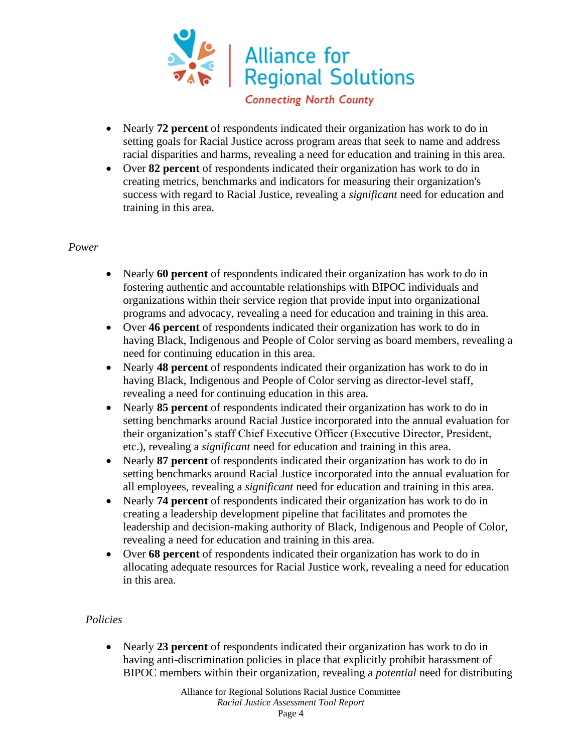

**Connecting North County** 

- Nearly **72 percent** of respondents indicated their organization has work to do in setting goals for Racial Justice across program areas that seek to name and address racial disparities and harms, revealing a need for education and training in this area.
- Over **82 percent** of respondents indicated their organization has work to do in creating metrics, benchmarks and indicators for measuring their organization's success with regard to Racial Justice, revealing a *significant* need for education and training in this area.

#### *Power*

- Nearly **60 percent** of respondents indicated their organization has work to do in fostering authentic and accountable relationships with BIPOC individuals and organizations within their service region that provide input into organizational programs and advocacy, revealing a need for education and training in this area.
- Over **46 percent** of respondents indicated their organization has work to do in having Black, Indigenous and People of Color serving as board members, revealing a need for continuing education in this area.
- Nearly **48 percent** of respondents indicated their organization has work to do in having Black, Indigenous and People of Color serving as director-level staff, revealing a need for continuing education in this area.
- Nearly **85 percent** of respondents indicated their organization has work to do in setting benchmarks around Racial Justice incorporated into the annual evaluation for their organization's staff Chief Executive Officer (Executive Director, President, etc.), revealing a *significant* need for education and training in this area.
- Nearly **87 percent** of respondents indicated their organization has work to do in setting benchmarks around Racial Justice incorporated into the annual evaluation for all employees, revealing a *significant* need for education and training in this area.
- Nearly **74 percent** of respondents indicated their organization has work to do in creating a leadership development pipeline that facilitates and promotes the leadership and decision-making authority of Black, Indigenous and People of Color, revealing a need for education and training in this area.
- Over **68 percent** of respondents indicated their organization has work to do in allocating adequate resources for Racial Justice work, revealing a need for education in this area.

#### *Policies*

• Nearly **23 percent** of respondents indicated their organization has work to do in having anti-discrimination policies in place that explicitly prohibit harassment of BIPOC members within their organization, revealing a *potential* need for distributing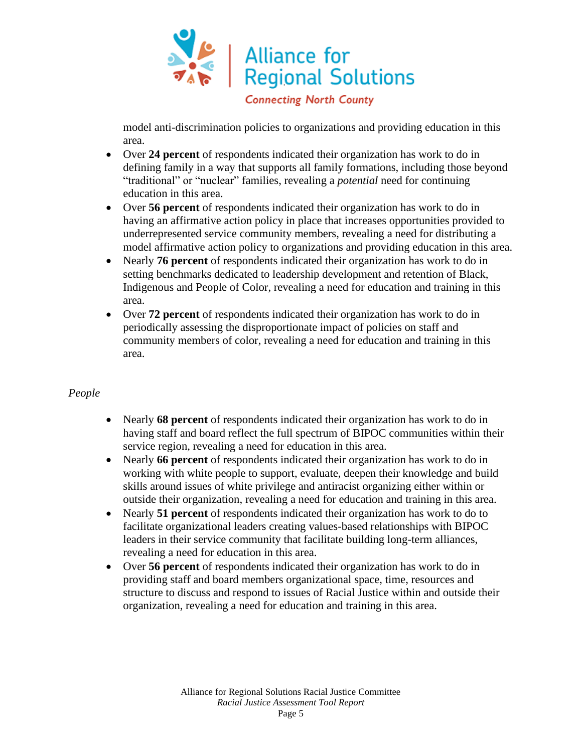

model anti-discrimination policies to organizations and providing education in this area.

- Over **24 percent** of respondents indicated their organization has work to do in defining family in a way that supports all family formations, including those beyond "traditional" or "nuclear" families, revealing a *potential* need for continuing education in this area.
- Over **56 percent** of respondents indicated their organization has work to do in having an affirmative action policy in place that increases opportunities provided to underrepresented service community members, revealing a need for distributing a model affirmative action policy to organizations and providing education in this area.
- Nearly **76 percent** of respondents indicated their organization has work to do in setting benchmarks dedicated to leadership development and retention of Black, Indigenous and People of Color, revealing a need for education and training in this area.
- Over **72 percent** of respondents indicated their organization has work to do in periodically assessing the disproportionate impact of policies on staff and community members of color, revealing a need for education and training in this area.

#### *People*

- Nearly **68 percent** of respondents indicated their organization has work to do in having staff and board reflect the full spectrum of BIPOC communities within their service region, revealing a need for education in this area.
- Nearly **66 percent** of respondents indicated their organization has work to do in working with white people to support, evaluate, deepen their knowledge and build skills around issues of white privilege and antiracist organizing either within or outside their organization, revealing a need for education and training in this area.
- Nearly **51 percent** of respondents indicated their organization has work to do to facilitate organizational leaders creating values-based relationships with BIPOC leaders in their service community that facilitate building long-term alliances, revealing a need for education in this area.
- Over **56 percent** of respondents indicated their organization has work to do in providing staff and board members organizational space, time, resources and structure to discuss and respond to issues of Racial Justice within and outside their organization, revealing a need for education and training in this area.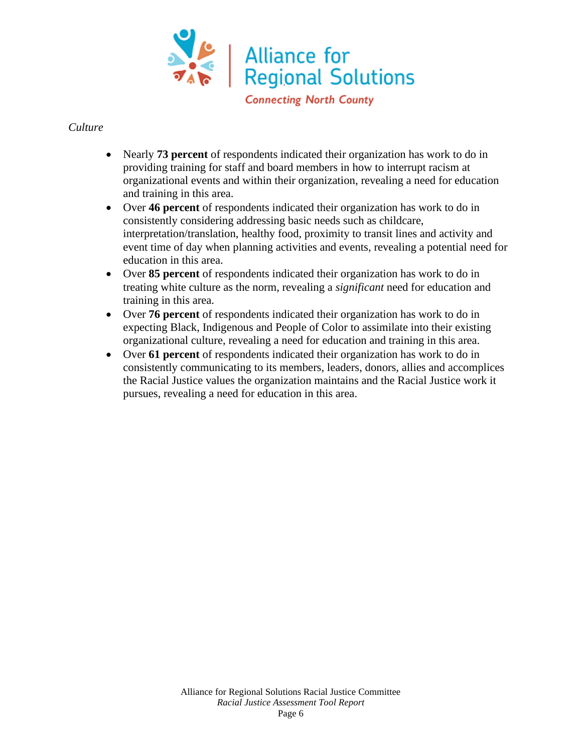

#### *Culture*

- Nearly **73 percent** of respondents indicated their organization has work to do in providing training for staff and board members in how to interrupt racism at organizational events and within their organization, revealing a need for education and training in this area.
- Over **46 percent** of respondents indicated their organization has work to do in consistently considering addressing basic needs such as childcare, interpretation/translation, healthy food, proximity to transit lines and activity and event time of day when planning activities and events, revealing a potential need for education in this area.
- Over **85 percent** of respondents indicated their organization has work to do in treating white culture as the norm, revealing a *significant* need for education and training in this area.
- Over **76 percent** of respondents indicated their organization has work to do in expecting Black, Indigenous and People of Color to assimilate into their existing organizational culture, revealing a need for education and training in this area.
- Over **61 percent** of respondents indicated their organization has work to do in consistently communicating to its members, leaders, donors, allies and accomplices the Racial Justice values the organization maintains and the Racial Justice work it pursues, revealing a need for education in this area.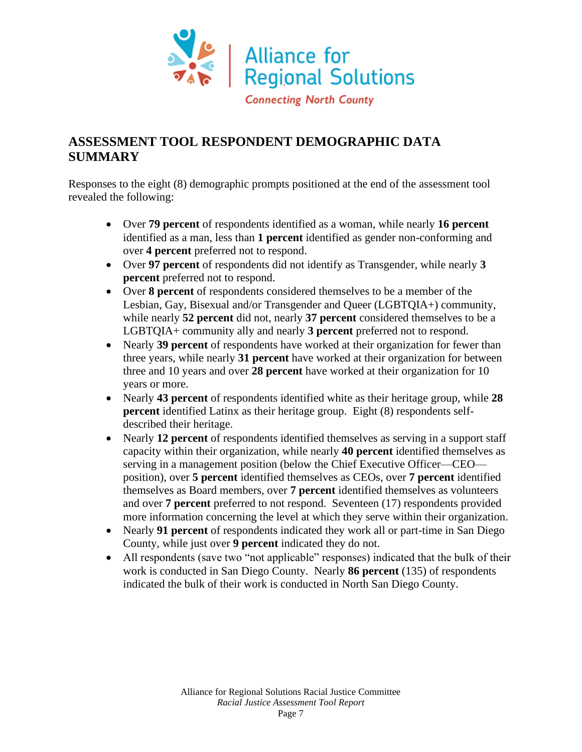

## **ASSESSMENT TOOL RESPONDENT DEMOGRAPHIC DATA SUMMARY**

Responses to the eight (8) demographic prompts positioned at the end of the assessment tool revealed the following:

- Over **79 percent** of respondents identified as a woman, while nearly **16 percent** identified as a man, less than **1 percent** identified as gender non-conforming and over **4 percent** preferred not to respond.
- Over **97 percent** of respondents did not identify as Transgender, while nearly **3 percent** preferred not to respond.
- Over **8 percent** of respondents considered themselves to be a member of the Lesbian, Gay, Bisexual and/or Transgender and Queer (LGBTQIA+) community, while nearly **52 percent** did not, nearly **37 percent** considered themselves to be a LGBTQIA+ community ally and nearly **3 percent** preferred not to respond.
- Nearly **39 percent** of respondents have worked at their organization for fewer than three years, while nearly **31 percent** have worked at their organization for between three and 10 years and over **28 percent** have worked at their organization for 10 years or more.
- Nearly **43 percent** of respondents identified white as their heritage group, while **28 percent** identified Latinx as their heritage group. Eight (8) respondents selfdescribed their heritage.
- Nearly **12 percent** of respondents identified themselves as serving in a support staff capacity within their organization, while nearly **40 percent** identified themselves as serving in a management position (below the Chief Executive Officer—CEO position), over **5 percent** identified themselves as CEOs, over **7 percent** identified themselves as Board members, over **7 percent** identified themselves as volunteers and over **7 percent** preferred to not respond. Seventeen (17) respondents provided more information concerning the level at which they serve within their organization.
- Nearly **91 percent** of respondents indicated they work all or part-time in San Diego County, while just over **9 percent** indicated they do not.
- All respondents (save two "not applicable" responses) indicated that the bulk of their work is conducted in San Diego County. Nearly **86 percent** (135) of respondents indicated the bulk of their work is conducted in North San Diego County.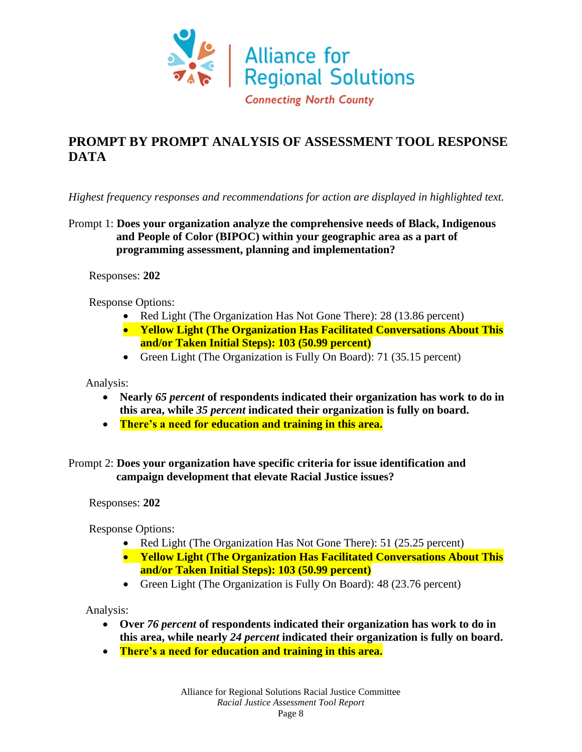

## **PROMPT BY PROMPT ANALYSIS OF ASSESSMENT TOOL RESPONSE DATA**

*Highest frequency responses and recommendations for action are displayed in highlighted text.*

Prompt 1: **Does your organization analyze the comprehensive needs of Black, Indigenous and People of Color (BIPOC) within your geographic area as a part of programming assessment, planning and implementation?**

Responses: **202**

Response Options:

- Red Light (The Organization Has Not Gone There): 28 (13.86 percent)
- **Yellow Light (The Organization Has Facilitated Conversations About This and/or Taken Initial Steps): 103 (50.99 percent)**
- Green Light (The Organization is Fully On Board): 71 (35.15 percent)

Analysis:

- **Nearly** *65 percent* **of respondents indicated their organization has work to do in this area, while** *35 percent* **indicated their organization is fully on board.**
- **There's a need for education and training in this area.**

Prompt 2: **Does your organization have specific criteria for issue identification and campaign development that elevate Racial Justice issues?**

Responses: **202**

Response Options:

- Red Light (The Organization Has Not Gone There): 51 (25.25 percent)
- **Yellow Light (The Organization Has Facilitated Conversations About This and/or Taken Initial Steps): 103 (50.99 percent)**
- Green Light (The Organization is Fully On Board): 48 (23.76 percent)

- **Over** *76 percent* **of respondents indicated their organization has work to do in this area, while nearly** *24 percent* **indicated their organization is fully on board.**
- **There's a need for education and training in this area.**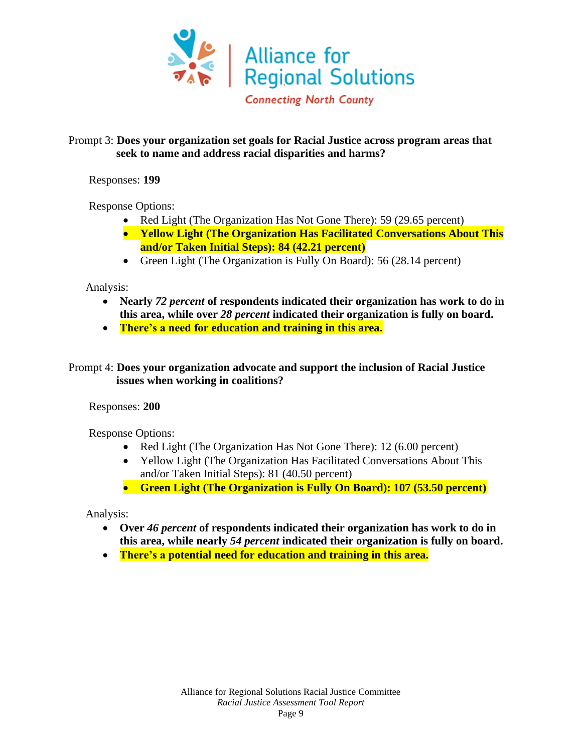

#### Prompt 3: **Does your organization set goals for Racial Justice across program areas that seek to name and address racial disparities and harms?**

Responses: **199**

Response Options:

- Red Light (The Organization Has Not Gone There): 59 (29.65 percent)
- **Yellow Light (The Organization Has Facilitated Conversations About This and/or Taken Initial Steps): 84 (42.21 percent)**
- Green Light (The Organization is Fully On Board): 56 (28.14 percent)

Analysis:

- **Nearly** *72 percent* **of respondents indicated their organization has work to do in this area, while over** *28 percent* **indicated their organization is fully on board.**
- **There's a need for education and training in this area.**

Prompt 4: **Does your organization advocate and support the inclusion of Racial Justice issues when working in coalitions?**

Responses: **200**

Response Options:

- Red Light (The Organization Has Not Gone There): 12 (6.00 percent)
- Yellow Light (The Organization Has Facilitated Conversations About This and/or Taken Initial Steps): 81 (40.50 percent)
- **Green Light (The Organization is Fully On Board): 107 (53.50 percent)**

- **Over** *46 percent* **of respondents indicated their organization has work to do in this area, while nearly** *54 percent* **indicated their organization is fully on board.**
- **There's a potential need for education and training in this area.**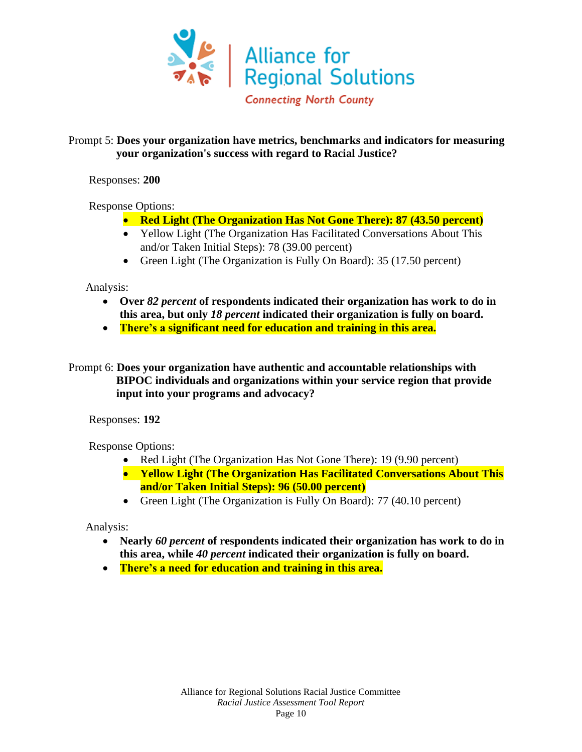

#### Prompt 5: **Does your organization have metrics, benchmarks and indicators for measuring your organization's success with regard to Racial Justice?**

Responses: **200**

Response Options:

- **Red Light (The Organization Has Not Gone There): 87 (43.50 percent)**
- Yellow Light (The Organization Has Facilitated Conversations About This and/or Taken Initial Steps): 78 (39.00 percent)
- Green Light (The Organization is Fully On Board): 35 (17.50 percent)

Analysis:

- **Over** *82 percent* **of respondents indicated their organization has work to do in this area, but only** *18 percent* **indicated their organization is fully on board.**
- **There's a significant need for education and training in this area.**

Prompt 6: **Does your organization have authentic and accountable relationships with BIPOC individuals and organizations within your service region that provide input into your programs and advocacy?**

Responses: **192**

Response Options:

- Red Light (The Organization Has Not Gone There): 19 (9.90 percent)
- **Yellow Light (The Organization Has Facilitated Conversations About This and/or Taken Initial Steps): 96 (50.00 percent)**
- Green Light (The Organization is Fully On Board): 77 (40.10 percent)

- **Nearly** *60 percent* **of respondents indicated their organization has work to do in this area, while** *40 percent* **indicated their organization is fully on board.**
- **There's a need for education and training in this area.**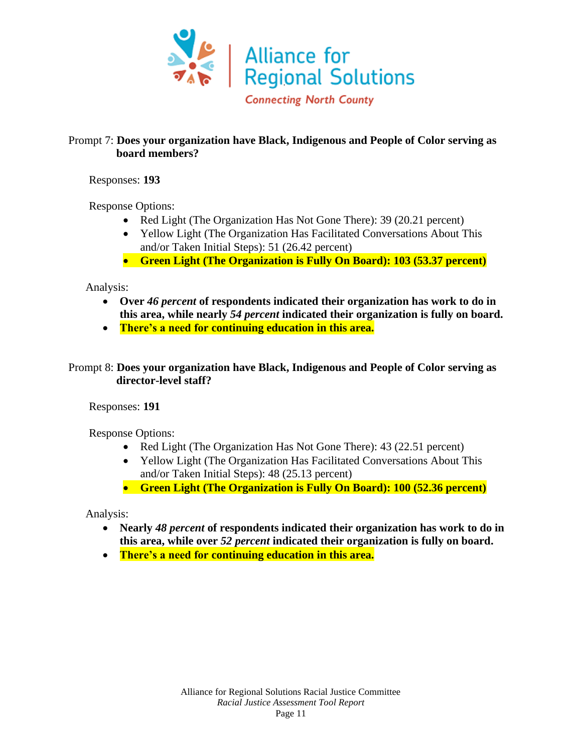

#### Prompt 7: **Does your organization have Black, Indigenous and People of Color serving as board members?**

Responses: **193**

Response Options:

- Red Light (The Organization Has Not Gone There): 39 (20.21 percent)
- Yellow Light (The Organization Has Facilitated Conversations About This and/or Taken Initial Steps): 51 (26.42 percent)
- **Green Light (The Organization is Fully On Board): 103 (53.37 percent)**

Analysis:

- **Over** *46 percent* **of respondents indicated their organization has work to do in this area, while nearly** *54 percent* **indicated their organization is fully on board.**
- **There's a need for continuing education in this area.**

#### Prompt 8: **Does your organization have Black, Indigenous and People of Color serving as director-level staff?**

Responses: **191**

Response Options:

- Red Light (The Organization Has Not Gone There): 43 (22.51 percent)
- Yellow Light (The Organization Has Facilitated Conversations About This and/or Taken Initial Steps): 48 (25.13 percent)
- **Green Light (The Organization is Fully On Board): 100 (52.36 percent)**

- **Nearly** *48 percent* **of respondents indicated their organization has work to do in this area, while over** *52 percent* **indicated their organization is fully on board.**
- **There's a need for continuing education in this area.**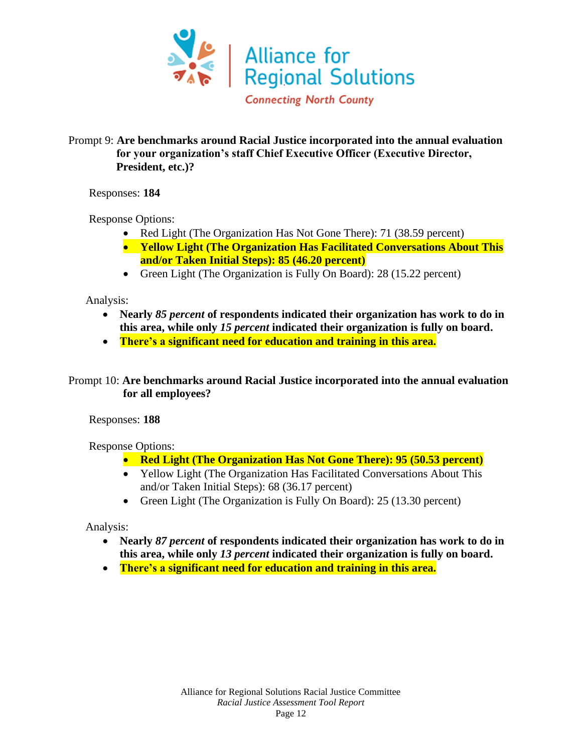

#### Prompt 9: **Are benchmarks around Racial Justice incorporated into the annual evaluation for your organization's staff Chief Executive Officer (Executive Director, President, etc.)?**

Responses: **184**

Response Options:

- Red Light (The Organization Has Not Gone There): 71 (38.59 percent)
- **Yellow Light (The Organization Has Facilitated Conversations About This and/or Taken Initial Steps): 85 (46.20 percent)**
- Green Light (The Organization is Fully On Board): 28 (15.22 percent)

Analysis:

- **Nearly** *85 percent* **of respondents indicated their organization has work to do in this area, while only** *15 percent* **indicated their organization is fully on board.**
- **There's a significant need for education and training in this area.**

Prompt 10: **Are benchmarks around Racial Justice incorporated into the annual evaluation for all employees?**

Responses: **188**

Response Options:

- **Red Light (The Organization Has Not Gone There): 95 (50.53 percent)**
- Yellow Light (The Organization Has Facilitated Conversations About This and/or Taken Initial Steps): 68 (36.17 percent)
- Green Light (The Organization is Fully On Board): 25 (13.30 percent)

- **Nearly** *87 percent* **of respondents indicated their organization has work to do in this area, while only** *13 percent* **indicated their organization is fully on board.**
- **There's a significant need for education and training in this area.**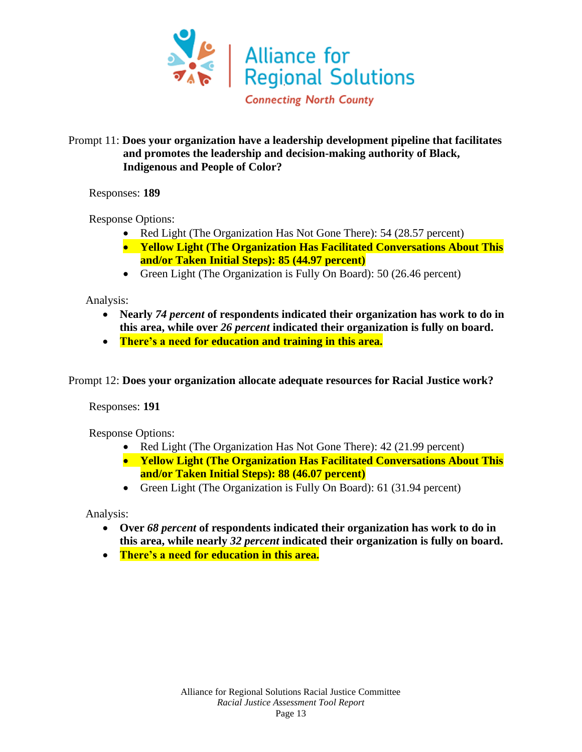

#### Prompt 11: **Does your organization have a leadership development pipeline that facilitates and promotes the leadership and decision-making authority of Black, Indigenous and People of Color?**

Responses: **189**

Response Options:

- Red Light (The Organization Has Not Gone There): 54 (28.57 percent)
- **Yellow Light (The Organization Has Facilitated Conversations About This and/or Taken Initial Steps): 85 (44.97 percent)**
- Green Light (The Organization is Fully On Board): 50 (26.46 percent)

Analysis:

- **Nearly** *74 percent* **of respondents indicated their organization has work to do in this area, while over** *26 percent* **indicated their organization is fully on board.**
- **There's a need for education and training in this area.**

Prompt 12: **Does your organization allocate adequate resources for Racial Justice work?**

Responses: **191**

Response Options:

- Red Light (The Organization Has Not Gone There): 42 (21.99 percent)
- **Yellow Light (The Organization Has Facilitated Conversations About This and/or Taken Initial Steps): 88 (46.07 percent)**
- Green Light (The Organization is Fully On Board): 61 (31.94 percent)

- **Over** *68 percent* **of respondents indicated their organization has work to do in this area, while nearly** *32 percent* **indicated their organization is fully on board.**
- **There's a need for education in this area.**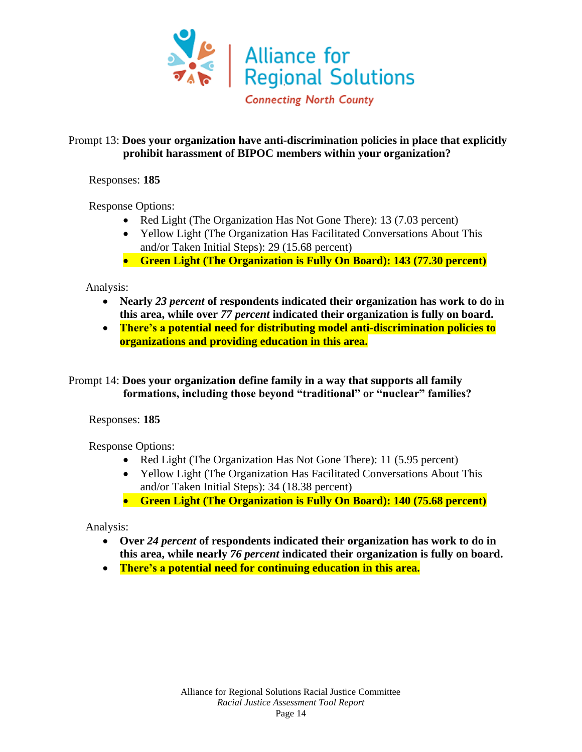

#### Prompt 13: **Does your organization have anti-discrimination policies in place that explicitly prohibit harassment of BIPOC members within your organization?**

Responses: **185**

Response Options:

- Red Light (The Organization Has Not Gone There): 13 (7.03 percent)
- Yellow Light (The Organization Has Facilitated Conversations About This and/or Taken Initial Steps): 29 (15.68 percent)
- **Green Light (The Organization is Fully On Board): 143 (77.30 percent)**

Analysis:

- **Nearly** *23 percent* **of respondents indicated their organization has work to do in this area, while over** *77 percent* **indicated their organization is fully on board.**
- **There's a potential need for distributing model anti-discrimination policies to organizations and providing education in this area.**

Prompt 14: **Does your organization define family in a way that supports all family formations, including those beyond "traditional" or "nuclear" families?**

Responses: **185**

Response Options:

- Red Light (The Organization Has Not Gone There): 11 (5.95 percent)
- Yellow Light (The Organization Has Facilitated Conversations About This and/or Taken Initial Steps): 34 (18.38 percent)
- **Green Light (The Organization is Fully On Board): 140 (75.68 percent)**

- **Over** *24 percent* **of respondents indicated their organization has work to do in this area, while nearly** *76 percent* **indicated their organization is fully on board.**
- **There's a potential need for continuing education in this area.**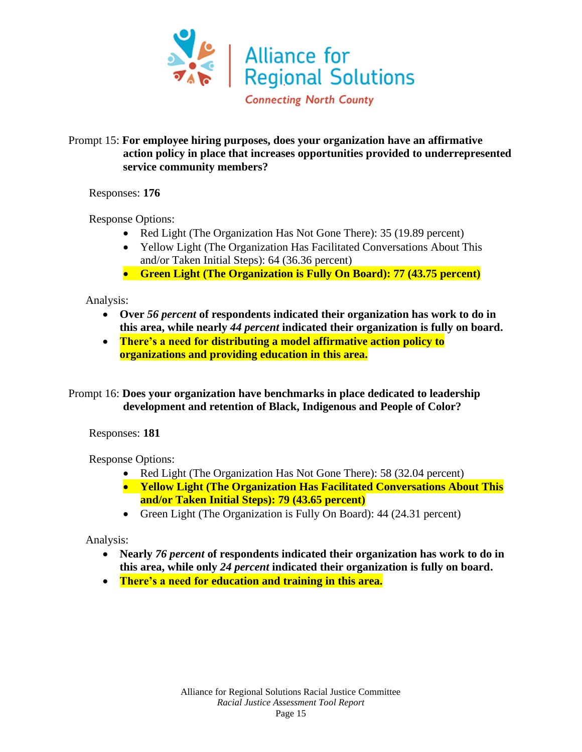

#### Prompt 15: **For employee hiring purposes, does your organization have an affirmative action policy in place that increases opportunities provided to underrepresented service community members?**

Responses: **176**

Response Options:

- Red Light (The Organization Has Not Gone There): 35 (19.89 percent)
- Yellow Light (The Organization Has Facilitated Conversations About This and/or Taken Initial Steps): 64 (36.36 percent)
- **Green Light (The Organization is Fully On Board): 77 (43.75 percent)**

Analysis:

- **Over** *56 percent* **of respondents indicated their organization has work to do in this area, while nearly** *44 percent* **indicated their organization is fully on board.**
- **There's a need for distributing a model affirmative action policy to organizations and providing education in this area.**

Prompt 16: **Does your organization have benchmarks in place dedicated to leadership development and retention of Black, Indigenous and People of Color?**

Responses: **181**

Response Options:

- Red Light (The Organization Has Not Gone There): 58 (32.04 percent)
- **Yellow Light (The Organization Has Facilitated Conversations About This and/or Taken Initial Steps): 79 (43.65 percent)**
- Green Light (The Organization is Fully On Board): 44 (24.31 percent)

- **Nearly** *76 percent* **of respondents indicated their organization has work to do in this area, while only** *24 percent* **indicated their organization is fully on board.**
- **There's a need for education and training in this area.**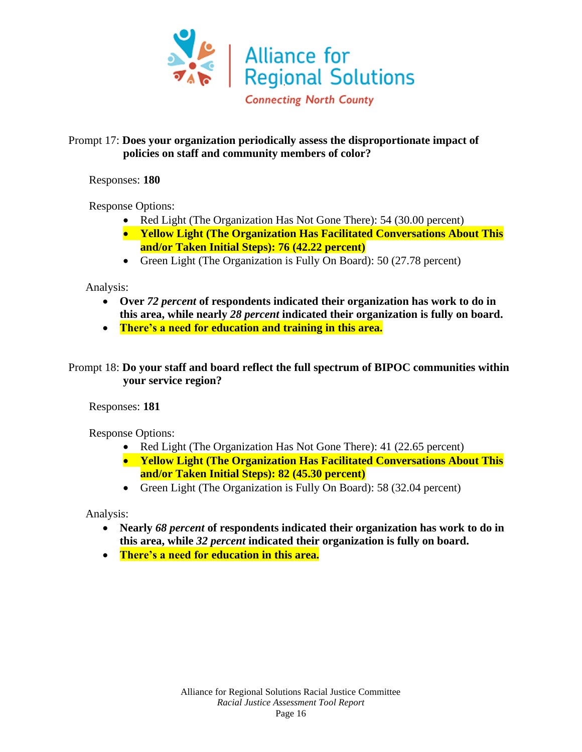

#### Prompt 17: **Does your organization periodically assess the disproportionate impact of policies on staff and community members of color?**

Responses: **180**

Response Options:

- Red Light (The Organization Has Not Gone There): 54 (30.00 percent)
- **Yellow Light (The Organization Has Facilitated Conversations About This and/or Taken Initial Steps): 76 (42.22 percent)**
- Green Light (The Organization is Fully On Board): 50 (27.78 percent)

Analysis:

- **Over** *72 percent* **of respondents indicated their organization has work to do in this area, while nearly** *28 percent* **indicated their organization is fully on board.**
- **There's a need for education and training in this area.**

#### Prompt 18: **Do your staff and board reflect the full spectrum of BIPOC communities within your service region?**

Responses: **181**

Response Options:

- Red Light (The Organization Has Not Gone There): 41 (22.65 percent)
- **Yellow Light (The Organization Has Facilitated Conversations About This and/or Taken Initial Steps): 82 (45.30 percent)**
- Green Light (The Organization is Fully On Board): 58 (32.04 percent)

- **Nearly** *68 percent* **of respondents indicated their organization has work to do in this area, while** *32 percent* **indicated their organization is fully on board.**
- **There's a need for education in this area.**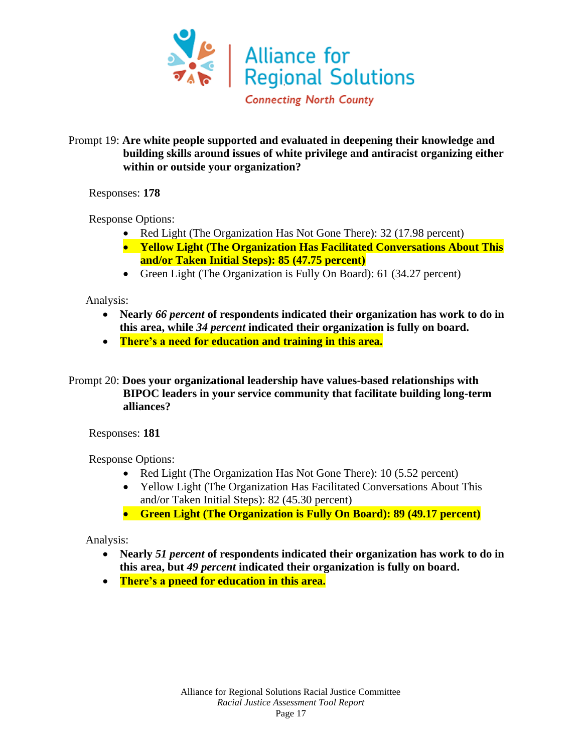

#### Prompt 19: **Are white people supported and evaluated in deepening their knowledge and building skills around issues of white privilege and antiracist organizing either within or outside your organization?**

Responses: **178**

Response Options:

- Red Light (The Organization Has Not Gone There): 32 (17.98 percent)
- **Yellow Light (The Organization Has Facilitated Conversations About This and/or Taken Initial Steps): 85 (47.75 percent)**
- Green Light (The Organization is Fully On Board): 61 (34.27 percent)

Analysis:

- **Nearly** *66 percent* **of respondents indicated their organization has work to do in this area, while** *34 percent* **indicated their organization is fully on board.**
- **There's a need for education and training in this area.**
- Prompt 20: **Does your organizational leadership have values-based relationships with BIPOC leaders in your service community that facilitate building long-term alliances?**

Responses: **181**

Response Options:

- Red Light (The Organization Has Not Gone There): 10 (5.52 percent)
- Yellow Light (The Organization Has Facilitated Conversations About This and/or Taken Initial Steps): 82 (45.30 percent)
- **Green Light (The Organization is Fully On Board): 89 (49.17 percent)**

- **Nearly** *51 percent* **of respondents indicated their organization has work to do in this area, but** *49 percent* **indicated their organization is fully on board.**
- **There's a pneed for education in this area.**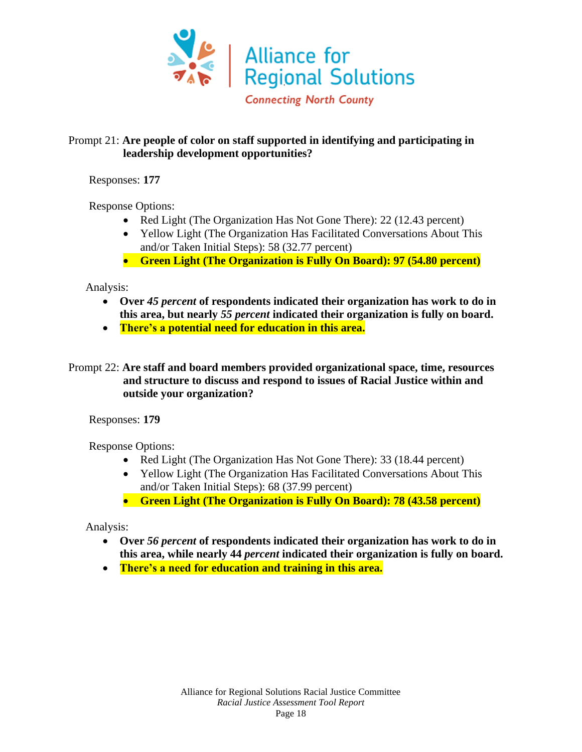

#### Prompt 21: **Are people of color on staff supported in identifying and participating in leadership development opportunities?**

Responses: **177**

Response Options:

- Red Light (The Organization Has Not Gone There): 22 (12.43 percent)
- Yellow Light (The Organization Has Facilitated Conversations About This and/or Taken Initial Steps): 58 (32.77 percent)
- **Green Light (The Organization is Fully On Board): 97 (54.80 percent)**

Analysis:

- **Over** *45 percent* **of respondents indicated their organization has work to do in this area, but nearly** *55 percent* **indicated their organization is fully on board.**
- **There's a potential need for education in this area.**
- Prompt 22: **Are staff and board members provided organizational space, time, resources and structure to discuss and respond to issues of Racial Justice within and outside your organization?**

Responses: **179**

Response Options:

- Red Light (The Organization Has Not Gone There): 33 (18.44 percent)
- Yellow Light (The Organization Has Facilitated Conversations About This and/or Taken Initial Steps): 68 (37.99 percent)
- **Green Light (The Organization is Fully On Board): 78 (43.58 percent)**

- **Over** *56 percent* **of respondents indicated their organization has work to do in this area, while nearly 44** *percent* **indicated their organization is fully on board.**
- **There's a need for education and training in this area.**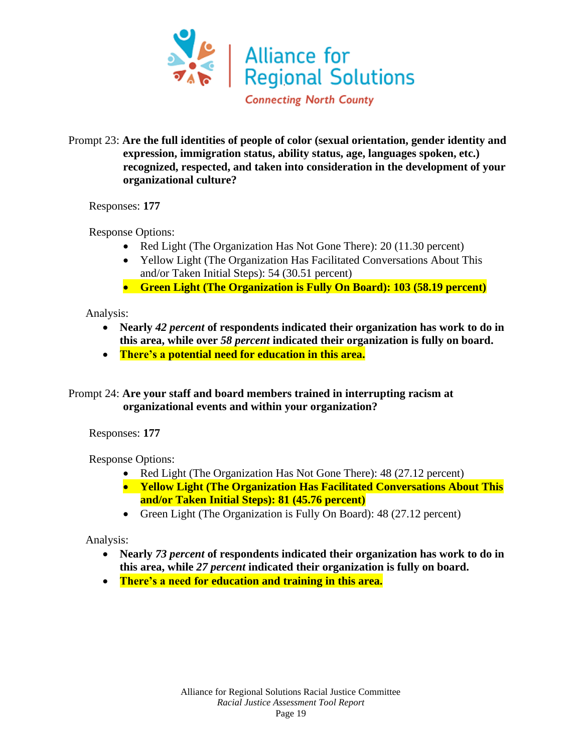

#### Prompt 23: **Are the full identities of people of color (sexual orientation, gender identity and expression, immigration status, ability status, age, languages spoken, etc.) recognized, respected, and taken into consideration in the development of your organizational culture?**

Responses: **177**

Response Options:

- Red Light (The Organization Has Not Gone There): 20 (11.30 percent)
- Yellow Light (The Organization Has Facilitated Conversations About This and/or Taken Initial Steps): 54 (30.51 percent)
- **Green Light (The Organization is Fully On Board): 103 (58.19 percent)**

Analysis:

- **Nearly** *42 percent* **of respondents indicated their organization has work to do in this area, while over** *58 percent* **indicated their organization is fully on board.**
- **There's a potential need for education in this area.**

Prompt 24: **Are your staff and board members trained in interrupting racism at organizational events and within your organization?**

Responses: **177**

Response Options:

- Red Light (The Organization Has Not Gone There): 48 (27.12 percent)
- **Yellow Light (The Organization Has Facilitated Conversations About This and/or Taken Initial Steps): 81 (45.76 percent)**
- Green Light (The Organization is Fully On Board): 48 (27.12 percent)

- **Nearly** *73 percent* **of respondents indicated their organization has work to do in this area, while** *27 percent* **indicated their organization is fully on board.**
- **There's a need for education and training in this area.**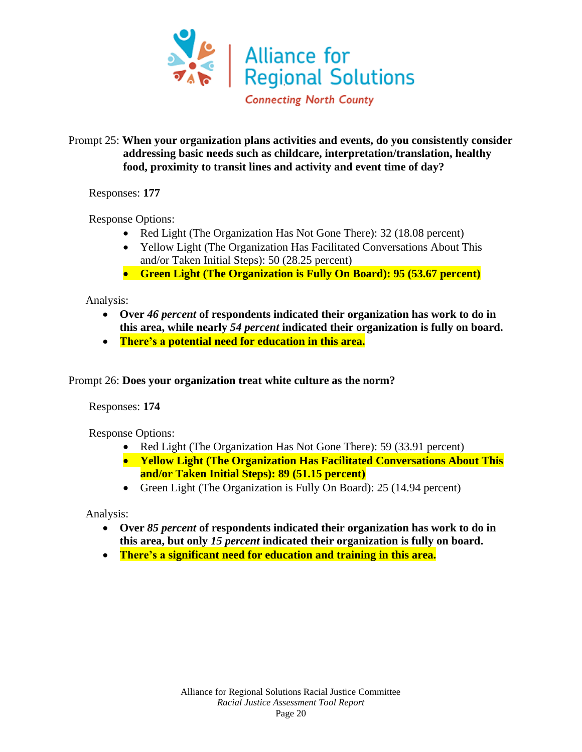

#### Prompt 25: **When your organization plans activities and events, do you consistently consider addressing basic needs such as childcare, interpretation/translation, healthy food, proximity to transit lines and activity and event time of day?**

Responses: **177**

Response Options:

- Red Light (The Organization Has Not Gone There): 32 (18.08 percent)
- Yellow Light (The Organization Has Facilitated Conversations About This and/or Taken Initial Steps): 50 (28.25 percent)
- **Green Light (The Organization is Fully On Board): 95 (53.67 percent)**

Analysis:

- **Over** *46 percent* **of respondents indicated their organization has work to do in this area, while nearly** *54 percent* **indicated their organization is fully on board.**
- **There's a potential need for education in this area.**

Prompt 26: **Does your organization treat white culture as the norm?**

Responses: **174**

Response Options:

- Red Light (The Organization Has Not Gone There): 59 (33.91 percent)
- **Yellow Light (The Organization Has Facilitated Conversations About This and/or Taken Initial Steps): 89 (51.15 percent)**
- Green Light (The Organization is Fully On Board): 25 (14.94 percent)

- **Over** *85 percent* **of respondents indicated their organization has work to do in this area, but only** *15 percent* **indicated their organization is fully on board.**
- **There's a significant need for education and training in this area.**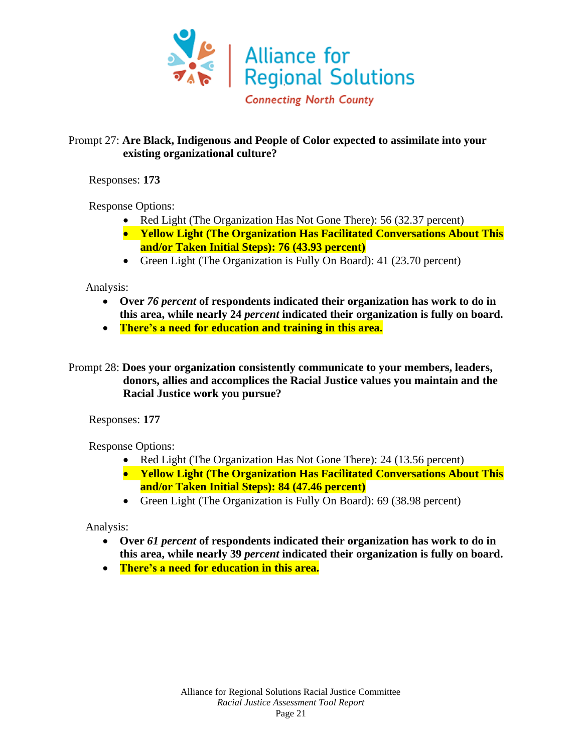

#### Prompt 27: **Are Black, Indigenous and People of Color expected to assimilate into your existing organizational culture?**

Responses: **173**

Response Options:

- Red Light (The Organization Has Not Gone There): 56 (32.37 percent)
- **Yellow Light (The Organization Has Facilitated Conversations About This and/or Taken Initial Steps): 76 (43.93 percent)**
- Green Light (The Organization is Fully On Board): 41 (23.70 percent)

Analysis:

- **Over** *76 percent* **of respondents indicated their organization has work to do in this area, while nearly 24** *percent* **indicated their organization is fully on board.**
- **There's a need for education and training in this area.**
- Prompt 28: **Does your organization consistently communicate to your members, leaders, donors, allies and accomplices the Racial Justice values you maintain and the Racial Justice work you pursue?**

Responses: **177**

Response Options:

- Red Light (The Organization Has Not Gone There): 24 (13.56 percent)
- **Yellow Light (The Organization Has Facilitated Conversations About This and/or Taken Initial Steps): 84 (47.46 percent)**
- Green Light (The Organization is Fully On Board): 69 (38.98 percent)

- **Over** *61 percent* **of respondents indicated their organization has work to do in this area, while nearly 39** *percent* **indicated their organization is fully on board.**
- **There's a need for education in this area.**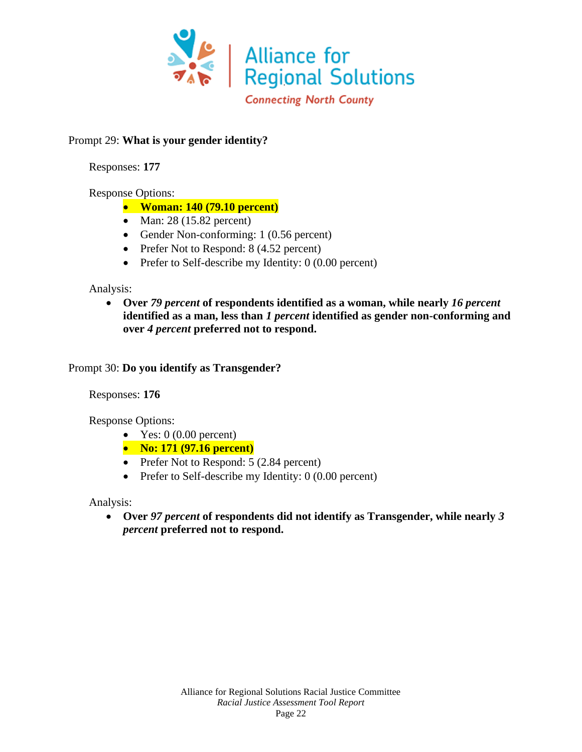

#### Prompt 29: **What is your gender identity?**

Responses: **177**

#### Response Options:

- **Woman: 140 (79.10 percent)**
- Man: 28 (15.82 percent)
- Gender Non-conforming: 1 (0.56 percent)
- Prefer Not to Respond: 8 (4.52 percent)
- Prefer to Self-describe my Identity: 0 (0.00 percent)

#### Analysis:

• **Over** *79 percent* **of respondents identified as a woman, while nearly** *16 percent* **identified as a man, less than** *1 percent* **identified as gender non-conforming and over** *4 percent* **preferred not to respond.**

#### Prompt 30: **Do you identify as Transgender?**

Responses: **176**

Response Options:

- Yes:  $0(0.00$  percent)
- **No: 171 (97.16 percent)**
- Prefer Not to Respond: 5 (2.84 percent)
- Prefer to Self-describe my Identity: 0 (0.00 percent)

Analysis:

• **Over** *97 percent* **of respondents did not identify as Transgender, while nearly** *3 percent* **preferred not to respond.**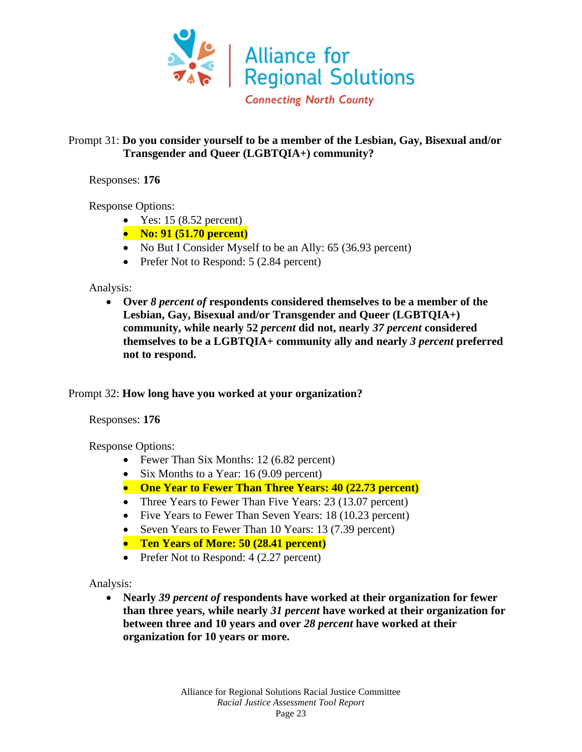

#### Prompt 31: **Do you consider yourself to be a member of the Lesbian, Gay, Bisexual and/or Transgender and Queer (LGBTQIA+) community?**

Responses: **176**

Response Options:

- Yes:  $15(8.52 \text{ percent})$
- **No: 91 (51.70 percent)**
- No But I Consider Myself to be an Ally: 65 (36.93 percent)
- Prefer Not to Respond: 5 (2.84 percent)

Analysis:

• **Over** *8 percent of* **respondents considered themselves to be a member of the Lesbian, Gay, Bisexual and/or Transgender and Queer (LGBTQIA+) community, while nearly 52** *percent* **did not, nearly** *37 percent* **considered themselves to be a LGBTQIA+ community ally and nearly** *3 percent* **preferred not to respond.**

#### Prompt 32: **How long have you worked at your organization?**

Responses: **176**

Response Options:

- Fewer Than Six Months: 12 (6.82 percent)
- Six Months to a Year: 16 (9.09 percent)
- **One Year to Fewer Than Three Years: 40 (22.73 percent)**
- Three Years to Fewer Than Five Years: 23 (13.07 percent)
- Five Years to Fewer Than Seven Years: 18 (10.23 percent)
- Seven Years to Fewer Than 10 Years: 13 (7.39 percent)
- **Ten Years of More: 50 (28.41 percent)**
- Prefer Not to Respond: 4 (2.27 percent)

Analysis:

• **Nearly** *39 percent of* **respondents have worked at their organization for fewer than three years, while nearly** *31 percent* **have worked at their organization for between three and 10 years and over** *28 percent* **have worked at their organization for 10 years or more.**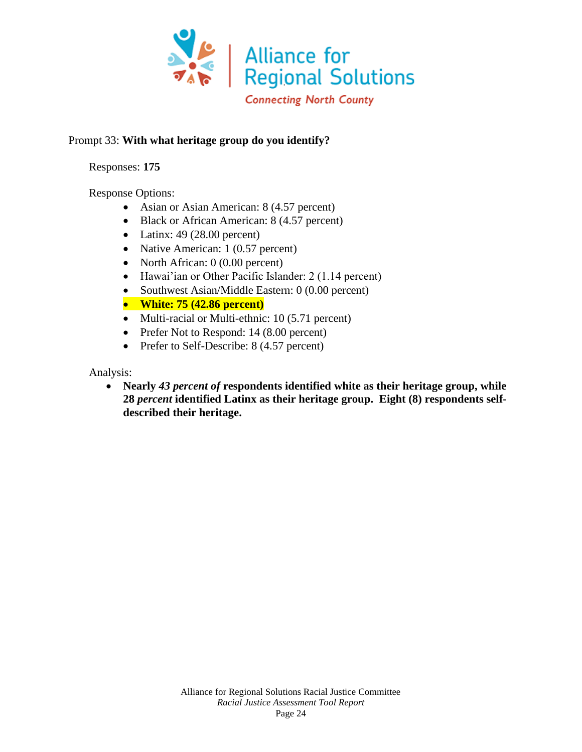

#### Prompt 33: **With what heritage group do you identify?**

Responses: **175**

Response Options:

- Asian or Asian American: 8 (4.57 percent)
- Black or African American: 8 (4.57 percent)
- Latinx:  $49$  (28.00 percent)
- Native American: 1 (0.57 percent)
- North African: 0 (0.00 percent)
- Hawai'ian or Other Pacific Islander: 2 (1.14 percent)
- Southwest Asian/Middle Eastern: 0 (0.00 percent)
- **White: 75 (42.86 percent)**
- Multi-racial or Multi-ethnic: 10 (5.71 percent)
- Prefer Not to Respond: 14 (8.00 percent)
- Prefer to Self-Describe: 8 (4.57 percent)

Analysis:

• **Nearly** *43 percent of* **respondents identified white as their heritage group, while 28** *percent* **identified Latinx as their heritage group. Eight (8) respondents selfdescribed their heritage.**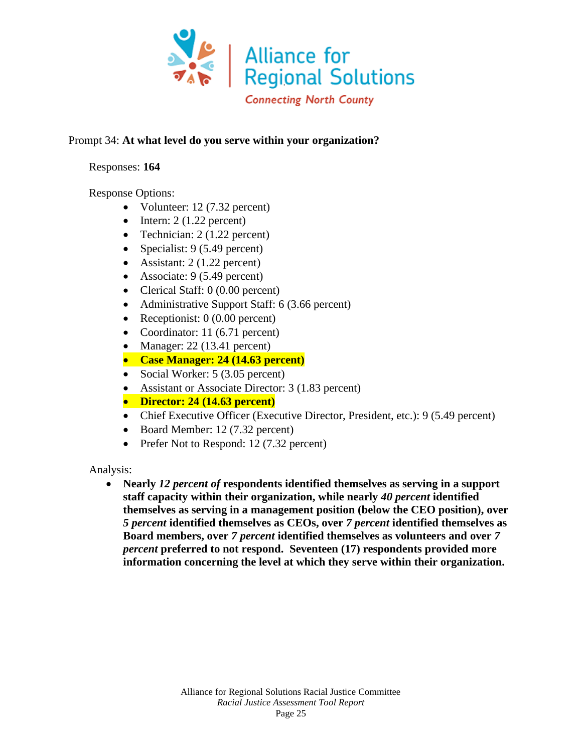

#### Prompt 34: **At what level do you serve within your organization?**

#### Responses: **164**

#### Response Options:

- Volunteer: 12 (7.32 percent)
- Intern:  $2(1.22 \text{ percent})$
- Technician: 2 (1.22 percent)
- Specialist: 9 (5.49 percent)
- Assistant: 2 (1.22 percent)
- Associate: 9 (5.49 percent)
- Clerical Staff: 0 (0.00 percent)
- Administrative Support Staff: 6 (3.66 percent)
- Receptionist: 0 (0.00 percent)
- Coordinator: 11 (6.71 percent)
- Manager:  $22(13.41)$  percent)
- **Case Manager: 24 (14.63 percent)**
- Social Worker: 5 (3.05 percent)
- Assistant or Associate Director: 3 (1.83 percent)
- **Director: 24 (14.63 percent)**
- Chief Executive Officer (Executive Director, President, etc.): 9 (5.49 percent)
- Board Member: 12 (7.32 percent)
- Prefer Not to Respond: 12 (7.32 percent)

Analysis:

• **Nearly** *12 percent of* **respondents identified themselves as serving in a support staff capacity within their organization, while nearly** *40 percent* **identified themselves as serving in a management position (below the CEO position), over**  *5 percent* **identified themselves as CEOs, over** *7 percent* **identified themselves as Board members, over** *7 percent* **identified themselves as volunteers and over** *7 percent* **preferred to not respond. Seventeen (17) respondents provided more information concerning the level at which they serve within their organization.**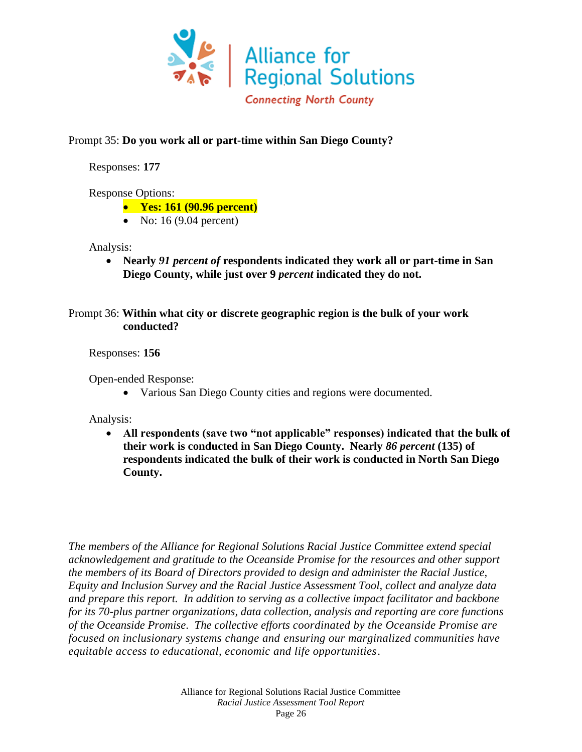

#### Prompt 35: **Do you work all or part-time within San Diego County?**

Responses: **177**

Response Options:

- **Yes: 161 (90.96 percent)**
- No: 16 (9.04 percent)

Analysis:

• **Nearly** *91 percent of* **respondents indicated they work all or part-time in San Diego County, while just over 9** *percent* **indicated they do not.**

Prompt 36: **Within what city or discrete geographic region is the bulk of your work conducted?**

Responses: **156**

Open-ended Response:

• Various San Diego County cities and regions were documented.

Analysis:

• **All respondents (save two "not applicable" responses) indicated that the bulk of their work is conducted in San Diego County. Nearly** *86 percent* **(135) of respondents indicated the bulk of their work is conducted in North San Diego County.**

*The members of the Alliance for Regional Solutions Racial Justice Committee extend special acknowledgement and gratitude to the Oceanside Promise for the resources and other support the members of its Board of Directors provided to design and administer the Racial Justice, Equity and Inclusion Survey and the Racial Justice Assessment Tool, collect and analyze data and prepare this report. In addition to serving as a collective impact facilitator and backbone for its 70-plus partner organizations, data collection, analysis and reporting are core functions of the Oceanside Promise*. *The collective efforts coordinated by the Oceanside Promise are focused on inclusionary systems change and ensuring our marginalized communities have equitable access to educational, economic and life opportunities*.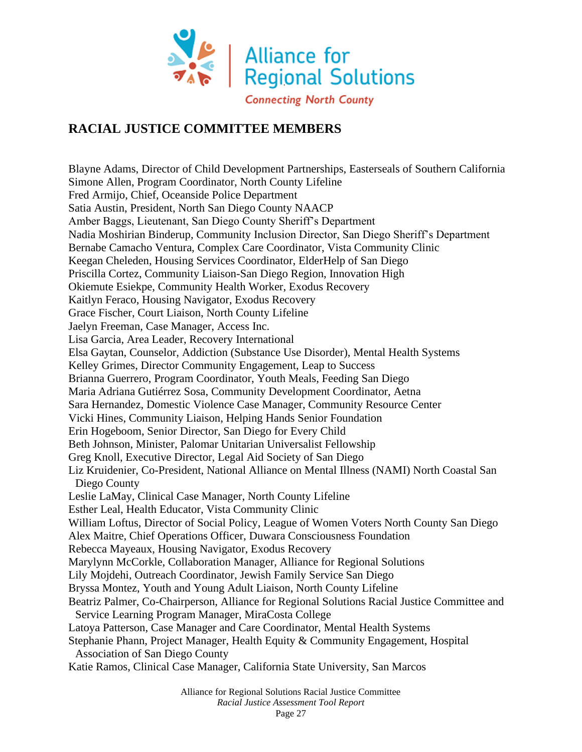

## **RACIAL JUSTICE COMMITTEE MEMBERS**

Blayne Adams, Director of Child Development Partnerships, Easterseals of Southern California Simone Allen, Program Coordinator, North County Lifeline Fred Armijo, Chief, Oceanside Police Department Satia Austin, President, North San Diego County NAACP Amber Baggs, Lieutenant, San Diego County Sheriff's Department Nadia Moshirian Binderup, Community Inclusion Director, San Diego Sheriff's Department Bernabe Camacho Ventura, Complex Care Coordinator, Vista Community Clinic Keegan Cheleden, Housing Services Coordinator, ElderHelp of San Diego Priscilla Cortez, Community Liaison-San Diego Region, Innovation High Okiemute Esiekpe, Community Health Worker, Exodus Recovery Kaitlyn Feraco, Housing Navigator, Exodus Recovery Grace Fischer, Court Liaison, North County Lifeline Jaelyn Freeman, Case Manager, Access Inc. Lisa Garcia, Area Leader, Recovery International Elsa Gaytan, Counselor, Addiction (Substance Use Disorder), Mental Health Systems Kelley Grimes, Director Community Engagement, Leap to Success Brianna Guerrero, Program Coordinator, Youth Meals, Feeding San Diego Maria Adriana Gutiérrez Sosa, Community Development Coordinator, Aetna Sara Hernandez, Domestic Violence Case Manager, Community Resource Center Vicki Hines, Community Liaison, Helping Hands Senior Foundation Erin Hogeboom, Senior Director, San Diego for Every Child Beth Johnson, Minister, Palomar Unitarian Universalist Fellowship Greg Knoll, Executive Director, Legal Aid Society of San Diego Liz Kruidenier, Co-President, National Alliance on Mental Illness (NAMI) North Coastal San Diego County Leslie LaMay, Clinical Case Manager, North County Lifeline Esther Leal, Health Educator, Vista Community Clinic William Loftus, Director of Social Policy, League of Women Voters North County San Diego Alex Maitre, Chief Operations Officer, Duwara Consciousness Foundation Rebecca Mayeaux, Housing Navigator, Exodus Recovery Marylynn McCorkle, Collaboration Manager, Alliance for Regional Solutions Lily Mojdehi, Outreach Coordinator, Jewish Family Service San Diego Bryssa Montez, Youth and Young Adult Liaison, North County Lifeline Beatriz Palmer, Co-Chairperson, Alliance for Regional Solutions Racial Justice Committee and Service Learning Program Manager, MiraCosta College Latoya Patterson, Case Manager and Care Coordinator, Mental Health Systems Stephanie Phann, Project Manager, Health Equity & Community Engagement, Hospital Association of San Diego County Katie Ramos, Clinical Case Manager, California State University, San Marcos

> Alliance for Regional Solutions Racial Justice Committee *Racial Justice Assessment Tool Report*